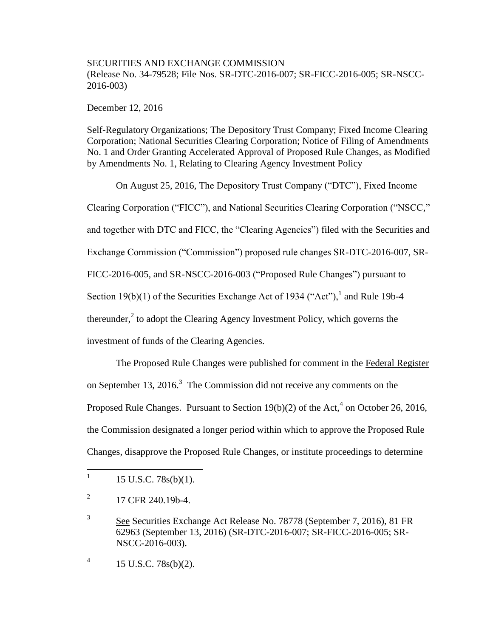## SECURITIES AND EXCHANGE COMMISSION (Release No. 34-79528; File Nos. SR-DTC-2016-007; SR-FICC-2016-005; SR-NSCC-2016-003)

December 12, 2016

Self-Regulatory Organizations; The Depository Trust Company; Fixed Income Clearing Corporation; National Securities Clearing Corporation; Notice of Filing of Amendments No. 1 and Order Granting Accelerated Approval of Proposed Rule Changes, as Modified by Amendments No. 1, Relating to Clearing Agency Investment Policy

On August 25, 2016, The Depository Trust Company ("DTC"), Fixed Income Clearing Corporation ("FICC"), and National Securities Clearing Corporation ("NSCC," and together with DTC and FICC, the "Clearing Agencies") filed with the Securities and Exchange Commission ("Commission") proposed rule changes SR-DTC-2016-007, SR-FICC-2016-005, and SR-NSCC-2016-003 ("Proposed Rule Changes") pursuant to Section 19(b)(1) of the Securities Exchange Act of 1934 ("Act"),  $^1$  and Rule 19b-4 thereunder, $2$  to adopt the Clearing Agency Investment Policy, which governs the investment of funds of the Clearing Agencies.

The Proposed Rule Changes were published for comment in the Federal Register on September 13, 2016.<sup>3</sup> The Commission did not receive any comments on the Proposed Rule Changes. Pursuant to Section  $19(b)(2)$  of the Act,<sup>4</sup> on October 26, 2016, the Commission designated a longer period within which to approve the Proposed Rule Changes, disapprove the Proposed Rule Changes, or institute proceedings to determine

4 15 U.S.C. 78s(b)(2).

<sup>|&</sup>lt;br>|<br>| 15 U.S.C. 78s(b)(1).

<sup>2</sup> 17 CFR 240.19b-4.

<sup>3</sup> See Securities Exchange Act Release No. 78778 (September 7, 2016), 81 FR 62963 (September 13, 2016) (SR-DTC-2016-007; SR-FICC-2016-005; SR-NSCC-2016-003).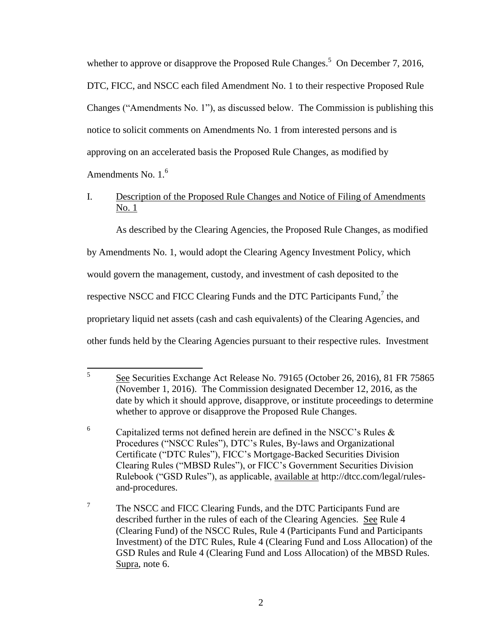whether to approve or disapprove the Proposed Rule Changes.<sup>5</sup> On December 7, 2016, DTC, FICC, and NSCC each filed Amendment No. 1 to their respective Proposed Rule Changes ("Amendments No. 1"), as discussed below. The Commission is publishing this notice to solicit comments on Amendments No. 1 from interested persons and is approving on an accelerated basis the Proposed Rule Changes, as modified by Amendments No.  $1<sup>6</sup>$ 

# I. Description of the Proposed Rule Changes and Notice of Filing of Amendments No. 1

As described by the Clearing Agencies, the Proposed Rule Changes, as modified

by Amendments No. 1, would adopt the Clearing Agency Investment Policy, which

would govern the management, custody, and investment of cash deposited to the

respective NSCC and FICC Clearing Funds and the DTC Participants Fund, $^7$  the

proprietary liquid net assets (cash and cash equivalents) of the Clearing Agencies, and

other funds held by the Clearing Agencies pursuant to their respective rules. Investment

 5 See Securities Exchange Act Release No. 79165 (October 26, 2016), 81 FR 75865 (November 1, 2016). The Commission designated December 12, 2016, as the date by which it should approve, disapprove, or institute proceedings to determine whether to approve or disapprove the Proposed Rule Changes.

<sup>&</sup>lt;sup>6</sup> Capitalized terms not defined herein are defined in the NSCC's Rules  $\&$ Procedures ("NSCC Rules"), DTC's Rules, By-laws and Organizational Certificate ("DTC Rules"), FICC's Mortgage-Backed Securities Division Clearing Rules ("MBSD Rules"), or FICC's Government Securities Division Rulebook ("GSD Rules"), as applicable, available at http://dtcc.com/legal/rulesand-procedures.

<sup>7</sup> The NSCC and FICC Clearing Funds, and the DTC Participants Fund are described further in the rules of each of the Clearing Agencies. See Rule 4 (Clearing Fund) of the NSCC Rules, Rule 4 (Participants Fund and Participants Investment) of the DTC Rules, Rule 4 (Clearing Fund and Loss Allocation) of the GSD Rules and Rule 4 (Clearing Fund and Loss Allocation) of the MBSD Rules. Supra, note 6.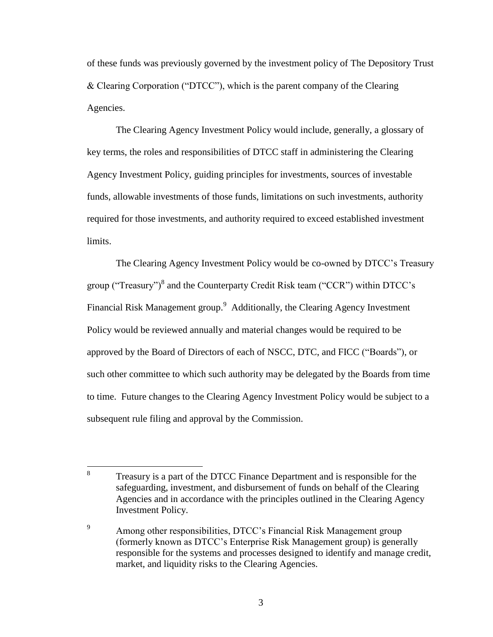of these funds was previously governed by the investment policy of The Depository Trust & Clearing Corporation ("DTCC"), which is the parent company of the Clearing Agencies.

The Clearing Agency Investment Policy would include, generally, a glossary of key terms, the roles and responsibilities of DTCC staff in administering the Clearing Agency Investment Policy, guiding principles for investments, sources of investable funds, allowable investments of those funds, limitations on such investments, authority required for those investments, and authority required to exceed established investment limits.

The Clearing Agency Investment Policy would be co-owned by DTCC's Treasury group ("Treasury")<sup>8</sup> and the Counterparty Credit Risk team ("CCR") within DTCC's Financial Risk Management group.<sup>9</sup> Additionally, the Clearing Agency Investment Policy would be reviewed annually and material changes would be required to be approved by the Board of Directors of each of NSCC, DTC, and FICC ("Boards"), or such other committee to which such authority may be delegated by the Boards from time to time. Future changes to the Clearing Agency Investment Policy would be subject to a subsequent rule filing and approval by the Commission.

 8 Treasury is a part of the DTCC Finance Department and is responsible for the safeguarding, investment, and disbursement of funds on behalf of the Clearing Agencies and in accordance with the principles outlined in the Clearing Agency Investment Policy.

<sup>9</sup> Among other responsibilities, DTCC's Financial Risk Management group (formerly known as DTCC's Enterprise Risk Management group) is generally responsible for the systems and processes designed to identify and manage credit, market, and liquidity risks to the Clearing Agencies.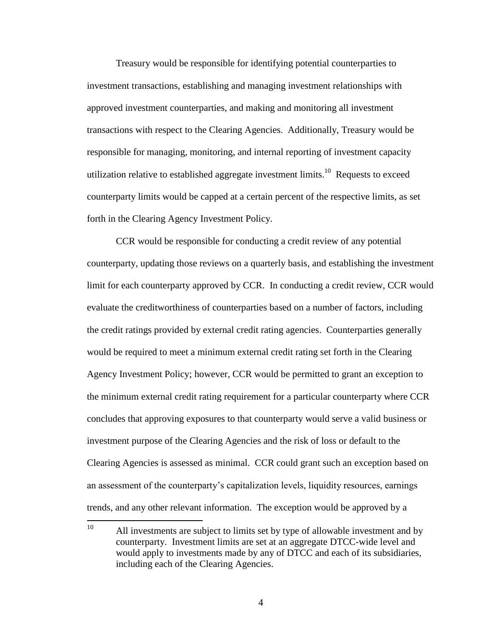Treasury would be responsible for identifying potential counterparties to investment transactions, establishing and managing investment relationships with approved investment counterparties, and making and monitoring all investment transactions with respect to the Clearing Agencies. Additionally, Treasury would be responsible for managing, monitoring, and internal reporting of investment capacity utilization relative to established aggregate investment limits.<sup>10</sup> Requests to exceed counterparty limits would be capped at a certain percent of the respective limits, as set forth in the Clearing Agency Investment Policy.

CCR would be responsible for conducting a credit review of any potential counterparty, updating those reviews on a quarterly basis, and establishing the investment limit for each counterparty approved by CCR. In conducting a credit review, CCR would evaluate the creditworthiness of counterparties based on a number of factors, including the credit ratings provided by external credit rating agencies. Counterparties generally would be required to meet a minimum external credit rating set forth in the Clearing Agency Investment Policy; however, CCR would be permitted to grant an exception to the minimum external credit rating requirement for a particular counterparty where CCR concludes that approving exposures to that counterparty would serve a valid business or investment purpose of the Clearing Agencies and the risk of loss or default to the Clearing Agencies is assessed as minimal. CCR could grant such an exception based on an assessment of the counterparty's capitalization levels, liquidity resources, earnings trends, and any other relevant information. The exception would be approved by a

4

 $10<sup>10</sup>$ All investments are subject to limits set by type of allowable investment and by counterparty. Investment limits are set at an aggregate DTCC-wide level and would apply to investments made by any of DTCC and each of its subsidiaries, including each of the Clearing Agencies.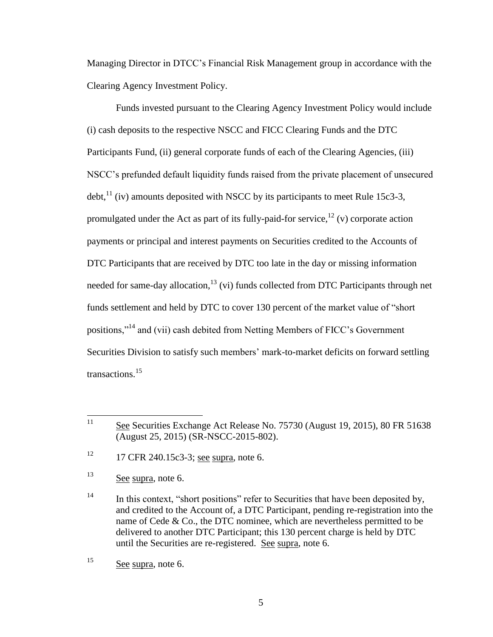Managing Director in DTCC's Financial Risk Management group in accordance with the Clearing Agency Investment Policy.

Funds invested pursuant to the Clearing Agency Investment Policy would include (i) cash deposits to the respective NSCC and FICC Clearing Funds and the DTC Participants Fund, (ii) general corporate funds of each of the Clearing Agencies, (iii) NSCC's prefunded default liquidity funds raised from the private placement of unsecured  $\text{debt}$ ,<sup>11</sup> (iv) amounts deposited with NSCC by its participants to meet Rule 15c3-3, promulgated under the Act as part of its fully-paid-for service,<sup>12</sup> (v) corporate action payments or principal and interest payments on Securities credited to the Accounts of DTC Participants that are received by DTC too late in the day or missing information needed for same-day allocation,  $^{13}$  (vi) funds collected from DTC Participants through net funds settlement and held by DTC to cover 130 percent of the market value of "short positions,"<sup>14</sup> and (vii) cash debited from Netting Members of FICC's Government Securities Division to satisfy such members' mark-to-market deficits on forward settling transactions.<sup>15</sup>

 $12$  17 CFR 240.15c3-3; see supra, note 6.

<sup>13</sup> See supra, note 6.

 $11$ See Securities Exchange Act Release No. 75730 (August 19, 2015), 80 FR 51638 (August 25, 2015) (SR-NSCC-2015-802).

<sup>&</sup>lt;sup>14</sup> In this context, "short positions" refer to Securities that have been deposited by, and credited to the Account of, a DTC Participant, pending re-registration into the name of Cede & Co., the DTC nominee, which are nevertheless permitted to be delivered to another DTC Participant; this 130 percent charge is held by DTC until the Securities are re-registered. See supra, note 6.

<sup>15</sup> See supra, note 6.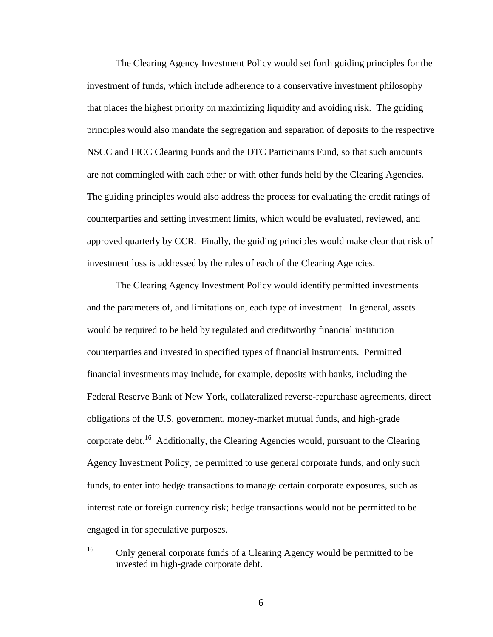The Clearing Agency Investment Policy would set forth guiding principles for the investment of funds, which include adherence to a conservative investment philosophy that places the highest priority on maximizing liquidity and avoiding risk. The guiding principles would also mandate the segregation and separation of deposits to the respective NSCC and FICC Clearing Funds and the DTC Participants Fund, so that such amounts are not commingled with each other or with other funds held by the Clearing Agencies. The guiding principles would also address the process for evaluating the credit ratings of counterparties and setting investment limits, which would be evaluated, reviewed, and approved quarterly by CCR. Finally, the guiding principles would make clear that risk of investment loss is addressed by the rules of each of the Clearing Agencies.

The Clearing Agency Investment Policy would identify permitted investments and the parameters of, and limitations on, each type of investment. In general, assets would be required to be held by regulated and creditworthy financial institution counterparties and invested in specified types of financial instruments. Permitted financial investments may include, for example, deposits with banks, including the Federal Reserve Bank of New York, collateralized reverse-repurchase agreements, direct obligations of the U.S. government, money-market mutual funds, and high-grade corporate debt.<sup>16</sup> Additionally, the Clearing Agencies would, pursuant to the Clearing Agency Investment Policy, be permitted to use general corporate funds, and only such funds, to enter into hedge transactions to manage certain corporate exposures, such as interest rate or foreign currency risk; hedge transactions would not be permitted to be engaged in for speculative purposes.

<sup>16</sup> <sup>16</sup> Only general corporate funds of a Clearing Agency would be permitted to be invested in high-grade corporate debt.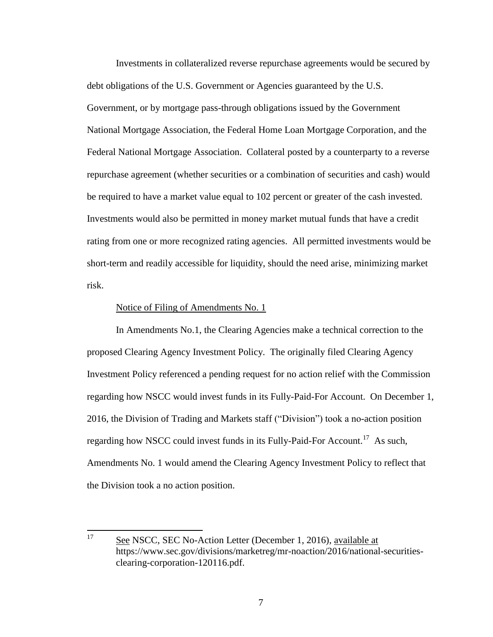Investments in collateralized reverse repurchase agreements would be secured by debt obligations of the U.S. Government or Agencies guaranteed by the U.S. Government, or by mortgage pass-through obligations issued by the Government National Mortgage Association, the Federal Home Loan Mortgage Corporation, and the Federal National Mortgage Association. Collateral posted by a counterparty to a reverse repurchase agreement (whether securities or a combination of securities and cash) would be required to have a market value equal to 102 percent or greater of the cash invested. Investments would also be permitted in money market mutual funds that have a credit rating from one or more recognized rating agencies. All permitted investments would be short-term and readily accessible for liquidity, should the need arise, minimizing market risk.

#### Notice of Filing of Amendments No. 1

In Amendments No.1, the Clearing Agencies make a technical correction to the proposed Clearing Agency Investment Policy. The originally filed Clearing Agency Investment Policy referenced a pending request for no action relief with the Commission regarding how NSCC would invest funds in its Fully-Paid-For Account. On December 1, 2016, the Division of Trading and Markets staff ("Division") took a no-action position regarding how NSCC could invest funds in its Fully-Paid-For Account.<sup>17</sup> As such, Amendments No. 1 would amend the Clearing Agency Investment Policy to reflect that the Division took a no action position.

<sup>17</sup> See NSCC, SEC No-Action Letter (December 1, 2016), available at https://www.sec.gov/divisions/marketreg/mr-noaction/2016/national-securitiesclearing-corporation-120116.pdf.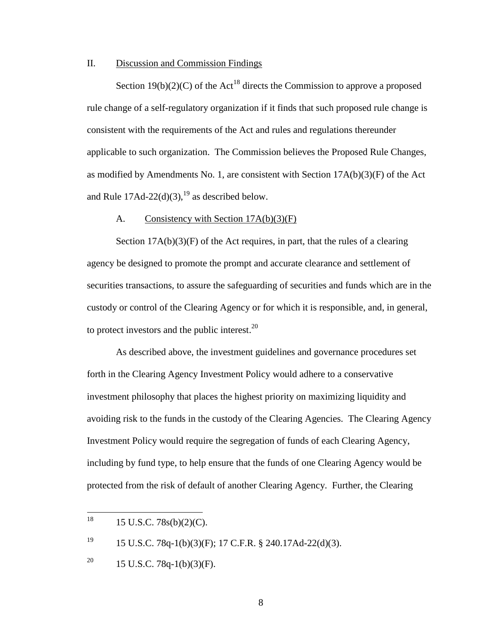### II. Discussion and Commission Findings

Section 19(b)(2)(C) of the Act<sup>18</sup> directs the Commission to approve a proposed rule change of a self-regulatory organization if it finds that such proposed rule change is consistent with the requirements of the Act and rules and regulations thereunder applicable to such organization. The Commission believes the Proposed Rule Changes, as modified by Amendments No. 1, are consistent with Section 17A(b)(3)(F) of the Act and Rule  $17\text{Ad}-22\text{d}(3)$ , <sup>19</sup> as described below.

### A. Consistency with Section 17A(b)(3)(F)

Section  $17A(b)(3)(F)$  of the Act requires, in part, that the rules of a clearing agency be designed to promote the prompt and accurate clearance and settlement of securities transactions, to assure the safeguarding of securities and funds which are in the custody or control of the Clearing Agency or for which it is responsible, and, in general, to protect investors and the public interest. $^{20}$ 

As described above, the investment guidelines and governance procedures set forth in the Clearing Agency Investment Policy would adhere to a conservative investment philosophy that places the highest priority on maximizing liquidity and avoiding risk to the funds in the custody of the Clearing Agencies. The Clearing Agency Investment Policy would require the segregation of funds of each Clearing Agency, including by fund type, to help ensure that the funds of one Clearing Agency would be protected from the risk of default of another Clearing Agency. Further, the Clearing

<sup>19</sup> 15 U.S.C. 78q-1(b)(3)(F); 17 C.F.R. § 240.17Ad-22(d)(3).

<sup>18</sup> <sup>18</sup> 15 U.S.C. 78s(b)(2)(C).

<sup>&</sup>lt;sup>20</sup> 15 U.S.C. 78q-1(b)(3)(F).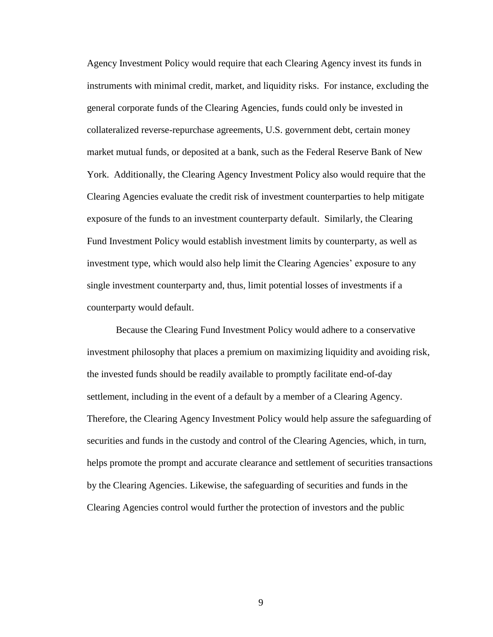Agency Investment Policy would require that each Clearing Agency invest its funds in instruments with minimal credit, market, and liquidity risks. For instance, excluding the general corporate funds of the Clearing Agencies, funds could only be invested in collateralized reverse-repurchase agreements, U.S. government debt, certain money market mutual funds, or deposited at a bank, such as the Federal Reserve Bank of New York. Additionally, the Clearing Agency Investment Policy also would require that the Clearing Agencies evaluate the credit risk of investment counterparties to help mitigate exposure of the funds to an investment counterparty default. Similarly, the Clearing Fund Investment Policy would establish investment limits by counterparty, as well as investment type, which would also help limit the Clearing Agencies' exposure to any single investment counterparty and, thus, limit potential losses of investments if a counterparty would default.

Because the Clearing Fund Investment Policy would adhere to a conservative investment philosophy that places a premium on maximizing liquidity and avoiding risk, the invested funds should be readily available to promptly facilitate end-of-day settlement, including in the event of a default by a member of a Clearing Agency. Therefore, the Clearing Agency Investment Policy would help assure the safeguarding of securities and funds in the custody and control of the Clearing Agencies, which, in turn, helps promote the prompt and accurate clearance and settlement of securities transactions by the Clearing Agencies. Likewise, the safeguarding of securities and funds in the Clearing Agencies control would further the protection of investors and the public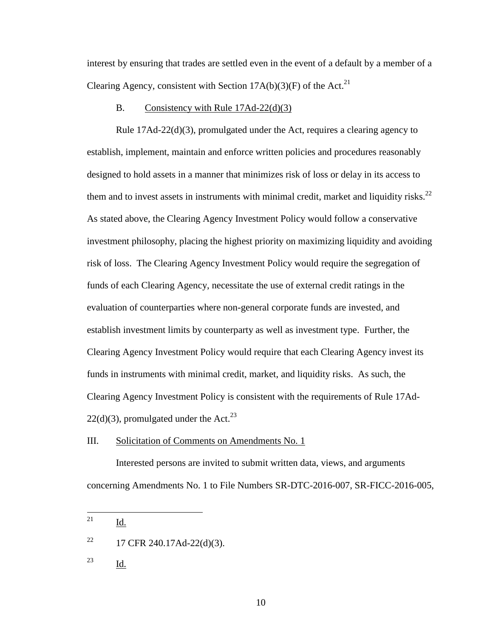interest by ensuring that trades are settled even in the event of a default by a member of a Clearing Agency, consistent with Section  $17A(b)(3)(F)$  of the Act.<sup>21</sup>

#### B. Consistency with Rule 17Ad-22(d)(3)

Rule  $17\text{Ad}-22\text{d}(3)$ , promulgated under the Act, requires a clearing agency to establish, implement, maintain and enforce written policies and procedures reasonably designed to hold assets in a manner that minimizes risk of loss or delay in its access to them and to invest assets in instruments with minimal credit, market and liquidity risks. $^{22}$ As stated above, the Clearing Agency Investment Policy would follow a conservative investment philosophy, placing the highest priority on maximizing liquidity and avoiding risk of loss. The Clearing Agency Investment Policy would require the segregation of funds of each Clearing Agency, necessitate the use of external credit ratings in the evaluation of counterparties where non-general corporate funds are invested, and establish investment limits by counterparty as well as investment type. Further, the Clearing Agency Investment Policy would require that each Clearing Agency invest its funds in instruments with minimal credit, market, and liquidity risks. As such, the Clearing Agency Investment Policy is consistent with the requirements of Rule 17Ad- $22(d)(3)$ , promulgated under the Act.<sup>23</sup>

III. Solicitation of Comments on Amendments No. 1

Interested persons are invited to submit written data, views, and arguments concerning Amendments No. 1 to File Numbers SR-DTC-2016-007, SR-FICC-2016-005,

<sup>21</sup> Id.

<sup>&</sup>lt;sup>22</sup> 17 CFR 240.17Ad-22(d)(3).

<sup>23</sup> Id.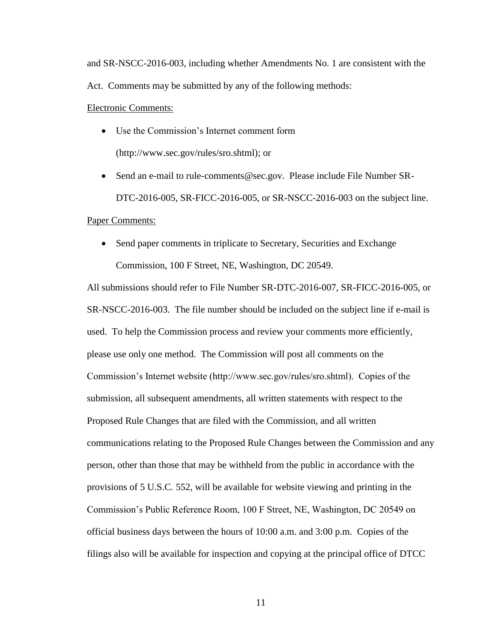and SR-NSCC-2016-003, including whether Amendments No. 1 are consistent with the Act. Comments may be submitted by any of the following methods:

#### Electronic Comments:

- Use the Commission's Internet comment form (http://www.sec.gov/rules/sro.shtml); or
- Send an e-mail to rule-comments@sec.gov. Please include File Number SR-DTC-2016-005, SR-FICC-2016-005, or SR-NSCC-2016-003 on the subject line.

#### Paper Comments:

• Send paper comments in triplicate to Secretary, Securities and Exchange Commission, 100 F Street, NE, Washington, DC 20549.

All submissions should refer to File Number SR-DTC-2016-007, SR-FICC-2016-005, or SR-NSCC-2016-003. The file number should be included on the subject line if e-mail is used. To help the Commission process and review your comments more efficiently, please use only one method. The Commission will post all comments on the Commission's Internet website (http://www.sec.gov/rules/sro.shtml). Copies of the submission, all subsequent amendments, all written statements with respect to the Proposed Rule Changes that are filed with the Commission, and all written communications relating to the Proposed Rule Changes between the Commission and any person, other than those that may be withheld from the public in accordance with the provisions of 5 U.S.C. 552, will be available for website viewing and printing in the Commission's Public Reference Room, 100 F Street, NE, Washington, DC 20549 on official business days between the hours of 10:00 a.m. and 3:00 p.m. Copies of the filings also will be available for inspection and copying at the principal office of DTCC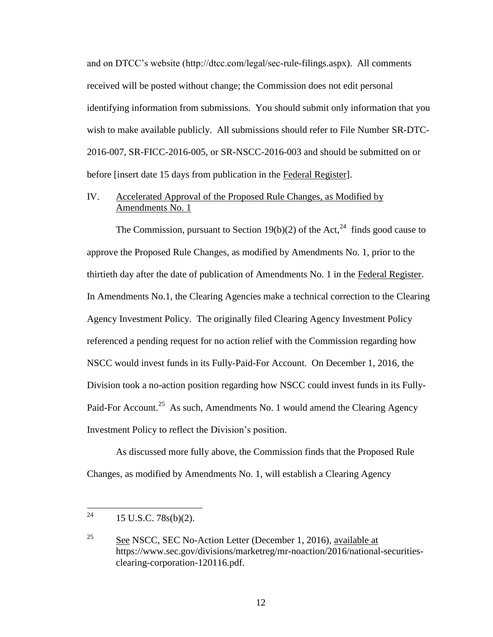and on DTCC's website (http://dtcc.com/legal/sec-rule-filings.aspx). All comments received will be posted without change; the Commission does not edit personal identifying information from submissions. You should submit only information that you wish to make available publicly. All submissions should refer to File Number SR-DTC-2016-007, SR-FICC-2016-005, or SR-NSCC-2016-003 and should be submitted on or before [insert date 15 days from publication in the Federal Register].

# IV. Accelerated Approval of the Proposed Rule Changes, as Modified by Amendments No. 1

The Commission, pursuant to Section 19(b)(2) of the Act,<sup>24</sup> finds good cause to approve the Proposed Rule Changes, as modified by Amendments No. 1, prior to the thirtieth day after the date of publication of Amendments No. 1 in the Federal Register. In Amendments No.1, the Clearing Agencies make a technical correction to the Clearing Agency Investment Policy. The originally filed Clearing Agency Investment Policy referenced a pending request for no action relief with the Commission regarding how NSCC would invest funds in its Fully-Paid-For Account. On December 1, 2016, the Division took a no-action position regarding how NSCC could invest funds in its Fully-Paid-For Account.<sup>25</sup> As such, Amendments No. 1 would amend the Clearing Agency Investment Policy to reflect the Division's position.

As discussed more fully above, the Commission finds that the Proposed Rule Changes, as modified by Amendments No. 1, will establish a Clearing Agency

<sup>24</sup> 15 U.S.C. 78s(b)(2).

 $\frac{25}{25}$  See NSCC, SEC No-Action Letter (December 1, 2016), available at https://www.sec.gov/divisions/marketreg/mr-noaction/2016/national-securitiesclearing-corporation-120116.pdf.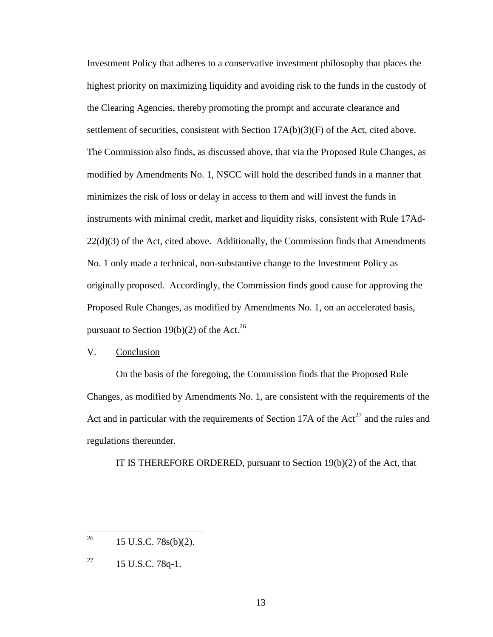Investment Policy that adheres to a conservative investment philosophy that places the highest priority on maximizing liquidity and avoiding risk to the funds in the custody of the Clearing Agencies, thereby promoting the prompt and accurate clearance and settlement of securities, consistent with Section  $17A(b)(3)(F)$  of the Act, cited above. The Commission also finds, as discussed above, that via the Proposed Rule Changes, as modified by Amendments No. 1, NSCC will hold the described funds in a manner that minimizes the risk of loss or delay in access to them and will invest the funds in instruments with minimal credit, market and liquidity risks, consistent with Rule 17Ad- $22(d)(3)$  of the Act, cited above. Additionally, the Commission finds that Amendments No. 1 only made a technical, non-substantive change to the Investment Policy as originally proposed. Accordingly, the Commission finds good cause for approving the Proposed Rule Changes, as modified by Amendments No. 1, on an accelerated basis, pursuant to Section 19(b)(2) of the Act.<sup>26</sup>

## V. Conclusion

On the basis of the foregoing, the Commission finds that the Proposed Rule Changes, as modified by Amendments No. 1, are consistent with the requirements of the Act and in particular with the requirements of Section 17A of the  $Act^{27}$  and the rules and regulations thereunder.

IT IS THEREFORE ORDERED, pursuant to Section 19(b)(2) of the Act, that

<sup>26</sup> <sup>26</sup> 15 U.S.C. 78s(b)(2).

 $^{27}$  15 U.S.C. 78q-1.